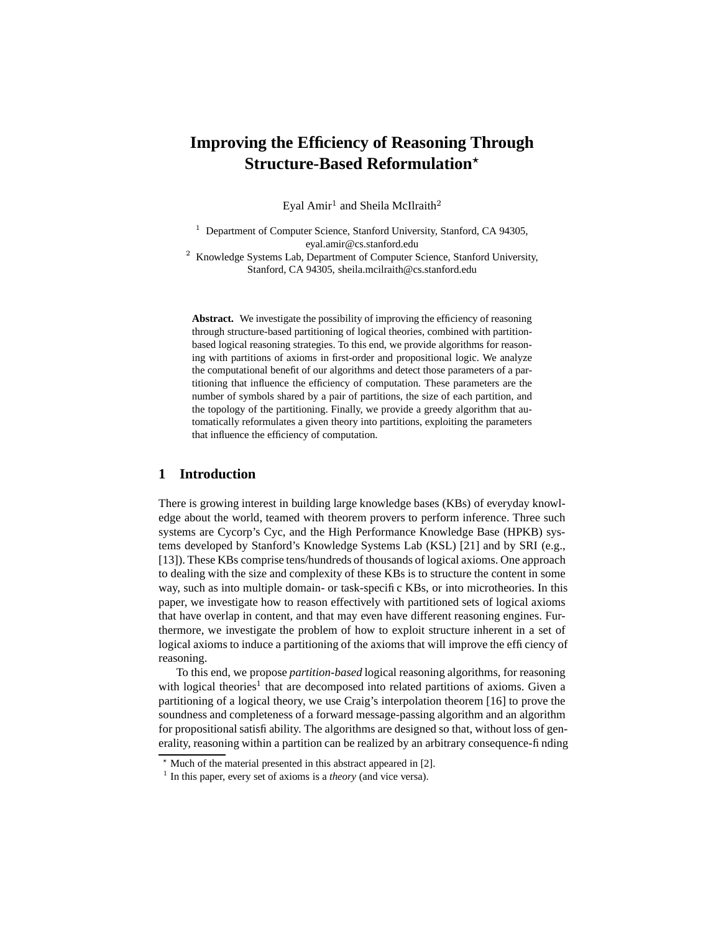# **Improving the Efficiency of Reasoning Through Structure-Based Reformulation**?

Eyal Amir $^1$  and Sheila McIlraith $^2$ 

<sup>1</sup> Department of Computer Science, Stanford University, Stanford, CA 94305, eyal.amir@cs.stanford.edu

<sup>2</sup> Knowledge Systems Lab, Department of Computer Science, Stanford University, Stanford, CA 94305, sheila.mcilraith@cs.stanford.edu

**Abstract.** We investigate the possibility of improving the efficiency of reasoning through structure-based partitioning of logical theories, combined with partitionbased logical reasoning strategies. To this end, we provide algorithms for reasoning with partitions of axioms in first-order and propositional logic. We analyze the computational benefit of our algorithms and detect those parameters of a partitioning that influence the efficiency of computation. These parameters are the number of symbols shared by a pair of partitions, the size of each partition, and the topology of the partitioning. Finally, we provide a greedy algorithm that automatically reformulates a given theory into partitions, exploiting the parameters that influence the efficiency of computation.

# **1 Introduction**

There is growing interest in building large knowledge bases (KBs) of everyday knowledge about the world, teamed with theorem provers to perform inference. Three such systems are Cycorp's Cyc, and the High Performance Knowledge Base (HPKB) systems developed by Stanford's Knowledge Systems Lab (KSL) [21] and by SRI (e.g., [13]). These KBs comprise tens/hundreds of thousands of logical axioms. One approach to dealing with the size and complexity of these KBs is to structure the content in some way, such as into multiple domain- or task-specific KBs, or into microtheories. In this paper, we investigate how to reason effectively with partitioned sets of logical axioms that have overlap in content, and that may even have different reasoning engines. Furthermore, we investigate the problem of how to exploit structure inherent in a set of logical axioms to induce a partitioning of the axioms that will improve the efficiency of reasoning.

To this end, we propose *partition-based* logical reasoning algorithms, for reasoning with logical theories<sup>1</sup> that are decomposed into related partitions of axioms. Given a partitioning of a logical theory, we use Craig's interpolation theorem [16] to prove the soundness and completeness of a forward message-passing algorithm and an algorithm for propositional satisfiability. The algorithms are designed so that, without loss of generality, reasoning within a partition can be realized by an arbitrary consequence-finding

<sup>?</sup> Much of the material presented in this abstract appeared in [2].

<sup>&</sup>lt;sup>1</sup> In this paper, every set of axioms is a *theory* (and vice versa).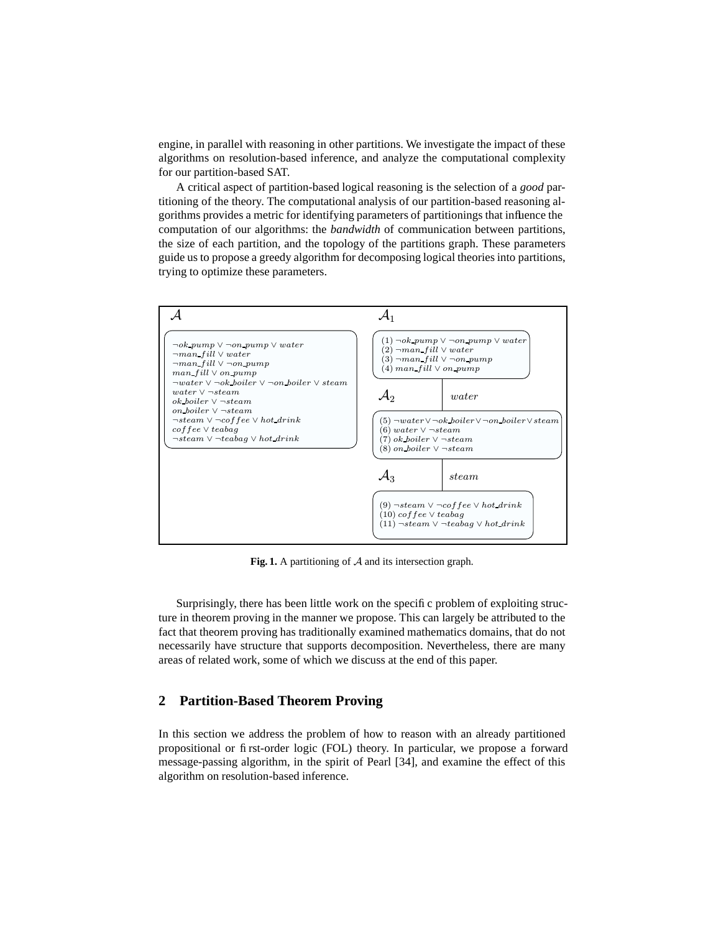engine, in parallel with reasoning in other partitions. We investigate the impact of these algorithms on resolution-based inference, and analyze the computational complexity for our partition-based SAT.

A critical aspect of partition-based logical reasoning is the selection of a *good* partitioning of the theory. The computational analysis of our partition-based reasoning algorithms provides a metric for identifying parameters of partitionings that influence the computation of our algorithms: the *bandwidth* of communication between partitions,

PSfrag replacement the size of each partition, and the topology of the partitions graph. These parameters guide us to propose a greedy algorithm for decomposing logical theories into partitions, trying to optimize these parameters.



**Fig. 1.** A partitioning of A and its intersection graph.

Surprisingly, there has been little work on the specific problem of exploiting structure in theorem proving in the manner we propose. This can largely be attributed to the fact that theorem proving has traditionally examined mathematics domains, that do not necessarily have structure that supports decomposition. Nevertheless, there are many areas of related work, some of which we discuss at the end of this paper.

# **2 Partition-Based Theorem Proving**

In this section we address the problem of how to reason with an already partitioned propositional or first-order logic (FOL) theory. In particular, we propose a forward message-passing algorithm, in the spirit of Pearl [34], and examine the effect of this algorithm on resolution-based inference.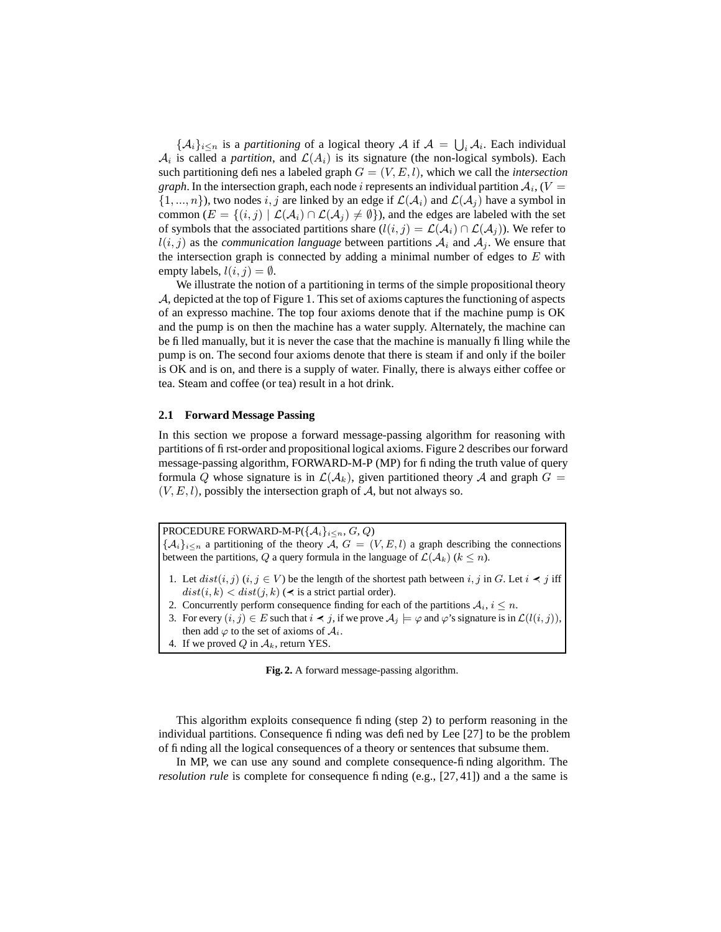$\{\mathcal{A}_i\}_{i\leq n}$  is a *partitioning* of a logical theory  $\mathcal{A}$  if  $\mathcal{A} = \bigcup_i \mathcal{A}_i$ . Each individual  $A_i$  is called a *partition*, and  $\mathcal{L}(A_i)$  is its signature (the non-logical symbols). Each such partitioning defines a labeled graph  $G = (V, E, l)$ , which we call the *intersection graph*. In the intersection graph, each node  $i$  represents an individual partition  $\mathcal{A}_i$  , ( $V=$  $\{1, ..., n\}$ , two nodes i, j are linked by an edge if  $\mathcal{L}(\mathcal{A}_i)$  and  $\mathcal{L}(\mathcal{A}_j)$  have a symbol in common ( $E = \{(i, j) | \mathcal{L}(\mathcal{A}_i) \cap \mathcal{L}(\mathcal{A}_j) \neq \emptyset\}$ ), and the edges are labeled with the set of symbols that the associated partitions share  $(l(i, j) = \mathcal{L}(\mathcal{A}_i) \cap \mathcal{L}(\mathcal{A}_j)$ ). We refer to  $l(i, j)$  as the *communication language* between partitions  $A_i$  and  $A_j$ . We ensure that the intersection graph is connected by adding a minimal number of edges to  $E$  with empty labels,  $l(i, j) = \emptyset$ .

We illustrate the notion of a partitioning in terms of the simple propositional theory A, depicted at the top of Figure 1. This set of axioms captures the functioning of aspects of an expresso machine. The top four axioms denote that if the machine pump is OK and the pump is on then the machine has a water supply. Alternately, the machine can be filled manually, but it is never the case that the machine is manually filling while the pump is on. The second four axioms denote that there is steam if and only if the boiler is OK and is on, and there is a supply of water. Finally, there is always either coffee or tea. Steam and coffee (or tea) result in a hot drink.

#### **2.1 Forward Message Passing**

In this section we propose a forward message-passing algorithm for reasoning with partitions of first-order and propositional logical axioms. Figure 2 describes our forward message-passing algorithm, FORWARD-M-P (MP) for finding the truth value of query formula Q whose signature is in  $\mathcal{L}(\mathcal{A}_k)$ , given partitioned theory A and graph  $G =$  $(V, E, l)$ , possibly the intersection graph of A, but not always so.

PROCEDURE FORWARD-M-P( ${A_i}_{i\leq n}$ , G, Q)  $\{A_i\}_{i\leq n}$  a partitioning of the theory  $\overline{A}$ ,  $G = (V, E, l)$  a graph describing the connections between the partitions, Q a query formula in the language of  $\mathcal{L}(\mathcal{A}_k)$  ( $k \leq n$ ).

- 1. Let  $dist(i, j)$   $(i, j \in V)$  be the length of the shortest path between  $i, j$  in G. Let  $i \prec j$  iff  $dist(i, k) < dist(j, k)$  ( $\prec$  is a strict partial order).
- 2. Concurrently perform consequence finding for each of the partitions  $A_i$ ,  $i \leq n$ .
- 3. For every  $(i, j) \in E$  such that  $i \prec j$ , if we prove  $\mathcal{A}_i \models \varphi$  and  $\varphi$ 's signature is in  $\mathcal{L}(l(i, j))$ , then add  $\varphi$  to the set of axioms of  $\mathcal{A}_i$ .
- 4. If we proved Q in  $A_k$ , return YES.

**Fig. 2.** A forward message-passing algorithm.

This algorithm exploits consequence finding (step 2) to perform reasoning in the individual partitions. Consequence finding was defined by Lee [27] to be the problem of finding all the logical consequences of a theory or sentences that subsume them.

In MP, we can use any sound and complete consequence-finding algorithm. The *resolution rule* is complete for consequence finding (e.g., [27, 41]) and a the same is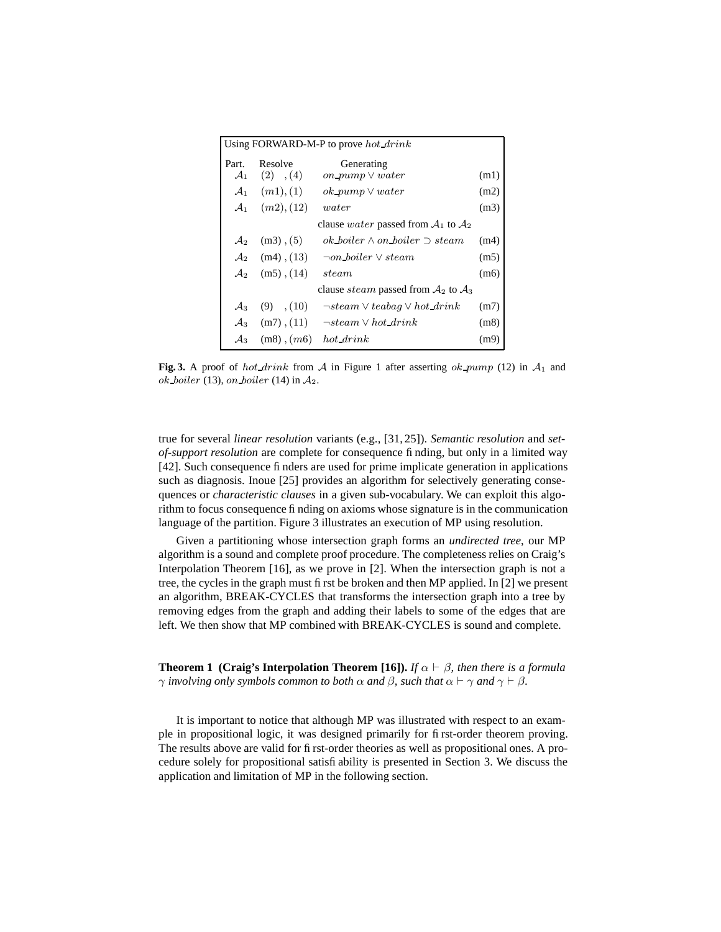| Using FORWARD-M-P to prove hot $drink$ |                               |                                                |      |
|----------------------------------------|-------------------------------|------------------------------------------------|------|
| Part.<br>$\mathcal{A}_1$               | Resolve<br>$(2)$ , $(4)$      | Generating<br>on pump $\vee$ water             | (m1) |
| $\mathcal{A}_1$                        | (m1), (1)                     | $ok\_pump \vee water$                          | (m2) |
|                                        | $\mathcal{A}_1$ $(m2)$ , (12) | water                                          | (m3) |
|                                        |                               | clause <i>water</i> passed from $A_1$ to $A_2$ |      |
| $\mathcal{A}_2$                        | $(m3)$ , $(5)$                | $ok\_{bolic} \wedge on\_{bolic} \supset steam$ | (m4) |
| $\mathcal{A}_2$                        | $(m4)$ , $(13)$               | $\neg on\_{boiler} \vee steam$                 | (m5) |
| $\mathcal{A}_2$                        | $(m5)$ , $(14)$               | <i>steam</i>                                   | (m6) |
|                                        |                               | clause <i>steam</i> passed from $A_2$ to $A_3$ |      |
| $\mathcal{A}_3$                        | , (10)<br>(9)                 | $\neg steam \vee teabaq \vee hot\_drink$       | (m7) |
| $\mathcal{A}_3$                        |                               | $(m7)$ , (11) $\neg$ steam $\vee$ hot drink    | (m8) |
| $\mathcal{A}_3$                        | $(m8)$ , $(m6)$ hot drink     |                                                | (m9) |

**Fig. 3.** A proof of hot drink from A in Figure 1 after asserting ok pump (12) in  $A_1$  and ok boiler (13), on boiler (14) in  $A_2$ .

true for several *linear resolution* variants (e.g., [31, 25]). *Semantic resolution* and *setof-support resolution* are complete for consequence finding, but only in a limited way [42]. Such consequence finders are used for prime implicate generation in applications such as diagnosis. Inoue [25] provides an algorithm for selectively generating consequences or *characteristic clauses* in a given sub-vocabulary. We can exploit this algorithm to focus consequence finding on axioms whose signature is in the communication language of the partition. Figure 3 illustrates an execution of MP using resolution.

Given a partitioning whose intersection graph forms an *undirected tree*, our MP algorithm is a sound and complete proof procedure. The completeness relies on Craig's Interpolation Theorem [16], as we prove in [2]. When the intersection graph is not a tree, the cycles in the graph must first be broken and then MP applied. In [2] we present an algorithm, BREAK-CYCLES that transforms the intersection graph into a tree by removing edges from the graph and adding their labels to some of the edges that are left. We then show that MP combined with BREAK-CYCLES is sound and complete.

**Theorem 1 (Craig's Interpolation Theorem [16]).** *If*  $\alpha \vdash \beta$ *, then there is a formula*  $\gamma$  *involving only symbols common to both*  $\alpha$  *and*  $\beta$ *, such that*  $\alpha \vdash \gamma$  *and*  $\gamma \vdash \beta$ *.* 

It is important to notice that although MP was illustrated with respect to an example in propositional logic, it was designed primarily for first-order theorem proving. The results above are valid for first-order theories as well as propositional ones. A procedure solely for propositional satisfiability is presented in Section 3. We discuss the application and limitation of MP in the following section.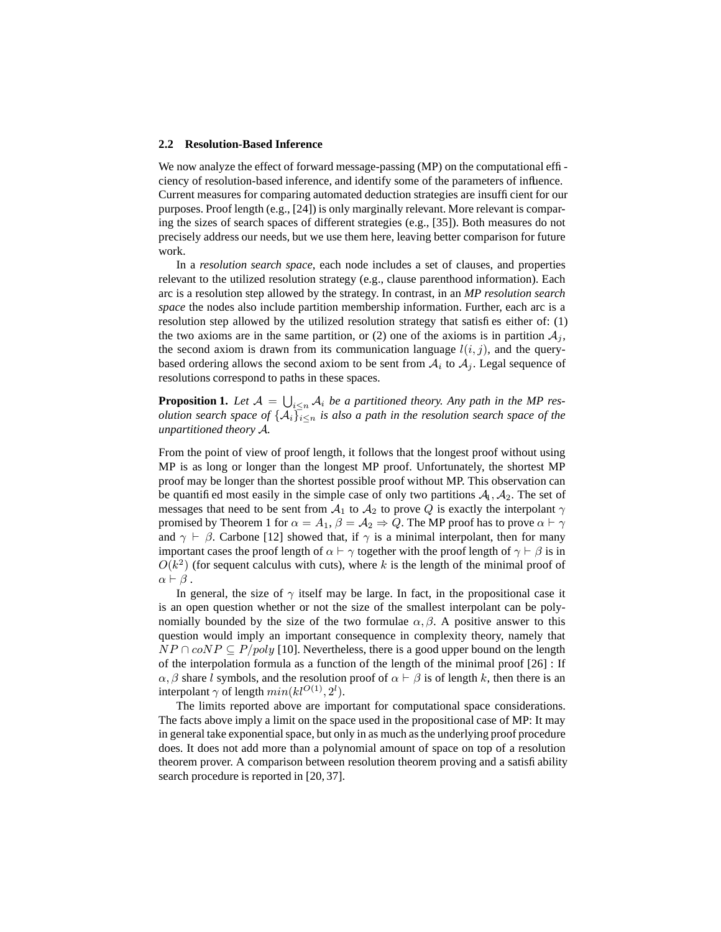#### **2.2 Resolution-Based Inference**

We now analyze the effect of forward message-passing (MP) on the computational efficiency of resolution-based inference, and identify some of the parameters of influence. Current measures for comparing automated deduction strategies are insufficient for our purposes. Proof length (e.g., [24]) is only marginally relevant. More relevant is comparing the sizes of search spaces of different strategies (e.g., [35]). Both measures do not precisely address our needs, but we use them here, leaving better comparison for future work.

In a *resolution search space*, each node includes a set of clauses, and properties relevant to the utilized resolution strategy (e.g., clause parenthood information). Each arc is a resolution step allowed by the strategy. In contrast, in an *MP resolution search space* the nodes also include partition membership information. Further, each arc is a resolution step allowed by the utilized resolution strategy that satisfies either of: (1) the two axioms are in the same partition, or (2) one of the axioms is in partition  $A_i$ , the second axiom is drawn from its communication language  $l(i, j)$ , and the querybased ordering allows the second axiom to be sent from  $A_i$  to  $A_j$ . Legal sequence of resolutions correspond to paths in these spaces.

**Proposition 1.** Let  $\mathcal{A} = \bigcup_{i \leq n} \mathcal{A}_i$  be a partitioned theory. Any path in the MP res*olution search space of*  $\{A_i\}_{i\leq n}$  *is also a path in the resolution search space of the unpartitioned theory* A*.*

From the point of view of proof length, it follows that the longest proof without using MP is as long or longer than the longest MP proof. Unfortunately, the shortest MP proof may be longer than the shortest possible proof without MP. This observation can be quantified most easily in the simple case of only two partitions  $A_1, A_2$ . The set of messages that need to be sent from  $A_1$  to  $A_2$  to prove Q is exactly the interpolant  $\gamma$ promised by Theorem 1 for  $\alpha = A_1$ ,  $\beta = A_2 \Rightarrow Q$ . The MP proof has to prove  $\alpha \vdash \gamma$ and  $\gamma \vdash \beta$ . Carbone [12] showed that, if  $\gamma$  is a minimal interpolant, then for many important cases the proof length of  $\alpha \vdash \gamma$  together with the proof length of  $\gamma \vdash \beta$  is in  $O(k^2)$  (for sequent calculus with cuts), where k is the length of the minimal proof of  $\alpha \vdash \beta$ .

In general, the size of  $\gamma$  itself may be large. In fact, in the propositional case it is an open question whether or not the size of the smallest interpolant can be polynomially bounded by the size of the two formulae  $\alpha$ ,  $\beta$ . A positive answer to this question would imply an important consequence in complexity theory, namely that  $NP \cap coNP \subseteq P/poly$  [10]. Nevertheless, there is a good upper bound on the length of the interpolation formula as a function of the length of the minimal proof [26] : If  $\alpha$ ,  $\beta$  share l symbols, and the resolution proof of  $\alpha \vdash \beta$  is of length k, then there is an interpolant  $\gamma$  of length  $min(kl^{O(1)}, 2^l)$ .

The limits reported above are important for computational space considerations. The facts above imply a limit on the space used in the propositional case of MP: It may in general take exponential space, but only in as much as the underlying proof procedure does. It does not add more than a polynomial amount of space on top of a resolution theorem prover. A comparison between resolution theorem proving and a satisfiability search procedure is reported in [20, 37].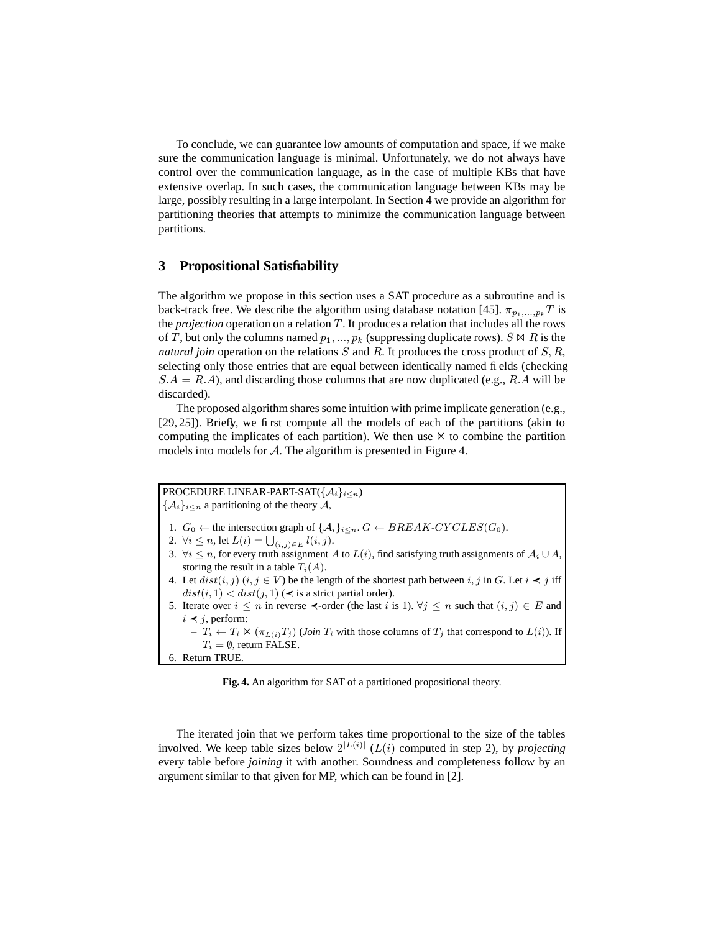To conclude, we can guarantee low amounts of computation and space, if we make sure the communication language is minimal. Unfortunately, we do not always have control over the communication language, as in the case of multiple KBs that have extensive overlap. In such cases, the communication language between KBs may be large, possibly resulting in a large interpolant. In Section 4 we provide an algorithm for partitioning theories that attempts to minimize the communication language between partitions.

# **3 Propositional Satisfiability**

The algorithm we propose in this section uses a SAT procedure as a subroutine and is back-track free. We describe the algorithm using database notation [45].  $\pi_{p_1,...,p_k} T$  is the *projection* operation on a relation T. It produces a relation that includes all the rows of T, but only the columns named  $p_1, ..., p_k$  (suppressing duplicate rows).  $S \bowtie R$  is the *natural join* operation on the relations S and R. It produces the cross product of S, R, selecting only those entries that are equal between identically named fields (checking  $S.A = R.A$ ), and discarding those columns that are now duplicated (e.g., R.A will be discarded).

The proposed algorithm shares some intuition with prime implicate generation (e.g., [29, 25]). Briefly, we first compute all the models of each of the partitions (akin to computing the implicates of each partition). We then use  $\bowtie$  to combine the partition models into models for  $\mathcal A$ . The algorithm is presented in Figure 4.

```
PROCEDURE LINEAR-PART-SAT({A_i}_{i\leq n})\{\mathcal{A}_i\}_{i\leq n} a partitioning of the theory \mathcal{A},
1. G_0 \leftarrow the intersection graph of \{A_i\}_{i \leq n}. G \leftarrow BREAK-CYCLES(G_0).
 2. \forall i \leq n, let L(i) = \bigcup_{(i,j) \in E} l(i,j).
3. \forall i \leq n, for every truth assignment A to L(i), find satisfying truth assignments of \mathcal{A}_i \cup \mathcal{A},
    storing the result in a table T_i(A).
4. Let dist(i, j) (i, j \in V) be the length of the shortest path between i, j in G. Let i \leq j iff
    dist(i, 1) < dist(j, 1) ( \prec is a strict partial order).
5. Iterate over i \leq n in reverse \prec-order (the last i is 1). \forall j \leq n such that (i, j) \in E and
    i \leq j, perform:
       - T_i \leftarrow T_i \bowtie (\pi_{L(i)} T_j) (Join T_i with those columns of T_j that correspond to L(i)). If
          T_i = \emptyset, return FALSE.
6. Return TRUE.
```
**Fig. 4.** An algorithm for SAT of a partitioned propositional theory.

The iterated join that we perform takes time proportional to the size of the tables involved. We keep table sizes below  $2^{|L(i)|}$  ( $L(i)$  computed in step 2), by *projecting* every table before *joining* it with another. Soundness and completeness follow by an argument similar to that given for MP, which can be found in [2].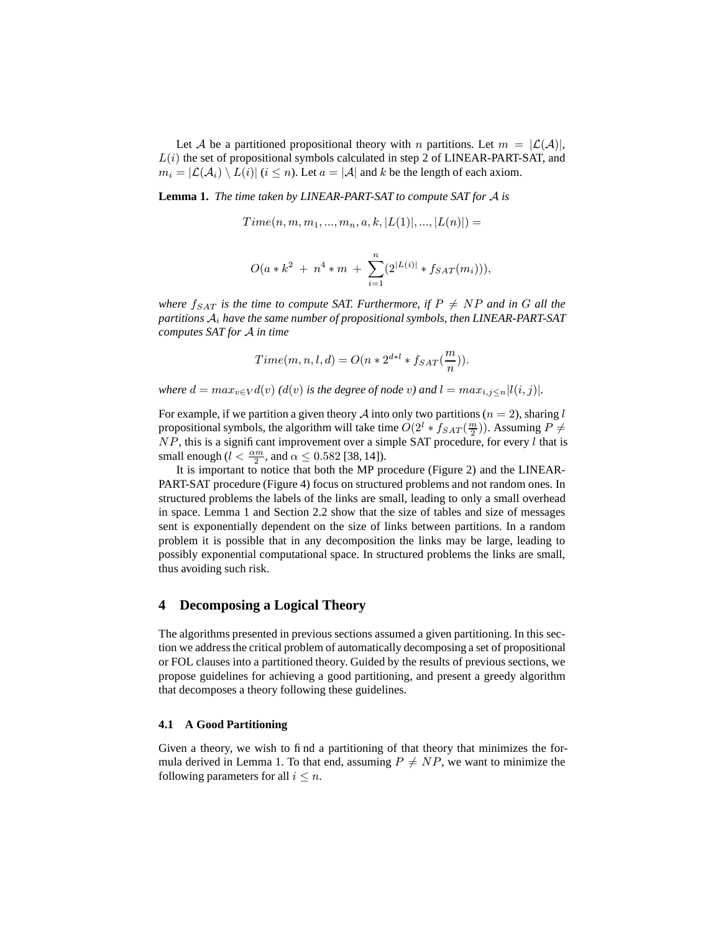Let A be a partitioned propositional theory with n partitions. Let  $m = |\mathcal{L}(\mathcal{A})|$ ,  $L(i)$  the set of propositional symbols calculated in step 2 of LINEAR-PART-SAT, and  $m_i = |\mathcal{L}(\mathcal{A}_i) \setminus L(i)|$   $(i \leq n)$ . Let  $a = |\mathcal{A}|$  and k be the length of each axiom.

**Lemma 1.** *The time taken by LINEAR-PART-SAT to compute SAT for* A *is*

 $Time(n, m, m_1, ..., m_n, a, k, |L(1)|, ..., |L(n)|) =$ 

$$
O(a * k^2 + n^4 * m + \sum_{i=1}^n (2^{|L(i)|} * f_{SAT}(m_i))),
$$

*where*  $f_{SAT}$  *is the time to compute SAT. Furthermore, if*  $P \neq NP$  *and in* G *all the partitions* A<sup>i</sup> *have the same number of propositional symbols, then LINEAR-PART-SAT computes SAT for* A *in time*

$$
Time(m,n,l,d) = O\big(n * 2^{d * l} * f_{SAT}\big(\frac{m}{n}\big)\big).
$$

*where*  $d = max_{v \in V} d(v)$  *(d(v) is the degree of node v) and*  $l = max_{i,j \le n} |l(i,j)|$ *.* 

For example, if we partition a given theory A into only two partitions ( $n = 2$ ), sharing l propositional symbols, the algorithm will take time  $O(2^l * f_{SAT}(\frac{m}{2}))$ . Assuming  $P \neq$  $NP$ , this is a significant improvement over a simple SAT procedure, for every  $l$  that is small enough ( $l < \frac{\alpha m}{2}$ , and  $\alpha \leq 0.582$  [38, 14]).

It is important to notice that both the MP procedure (Figure 2) and the LINEAR-PART-SAT procedure (Figure 4) focus on structured problems and not random ones. In structured problems the labels of the links are small, leading to only a small overhead in space. Lemma 1 and Section 2.2 show that the size of tables and size of messages sent is exponentially dependent on the size of links between partitions. In a random problem it is possible that in any decomposition the links may be large, leading to possibly exponential computational space. In structured problems the links are small, thus avoiding such risk.

# **4 Decomposing a Logical Theory**

The algorithms presented in previous sections assumed a given partitioning. In this section we address the critical problem of automatically decomposing a set of propositional or FOL clauses into a partitioned theory. Guided by the results of previous sections, we propose guidelines for achieving a good partitioning, and present a greedy algorithm that decomposes a theory following these guidelines.

### **4.1 A Good Partitioning**

Given a theory, we wish to find a partitioning of that theory that minimizes the formula derived in Lemma 1. To that end, assuming  $P \neq NP$ , we want to minimize the following parameters for all  $i \leq n$ .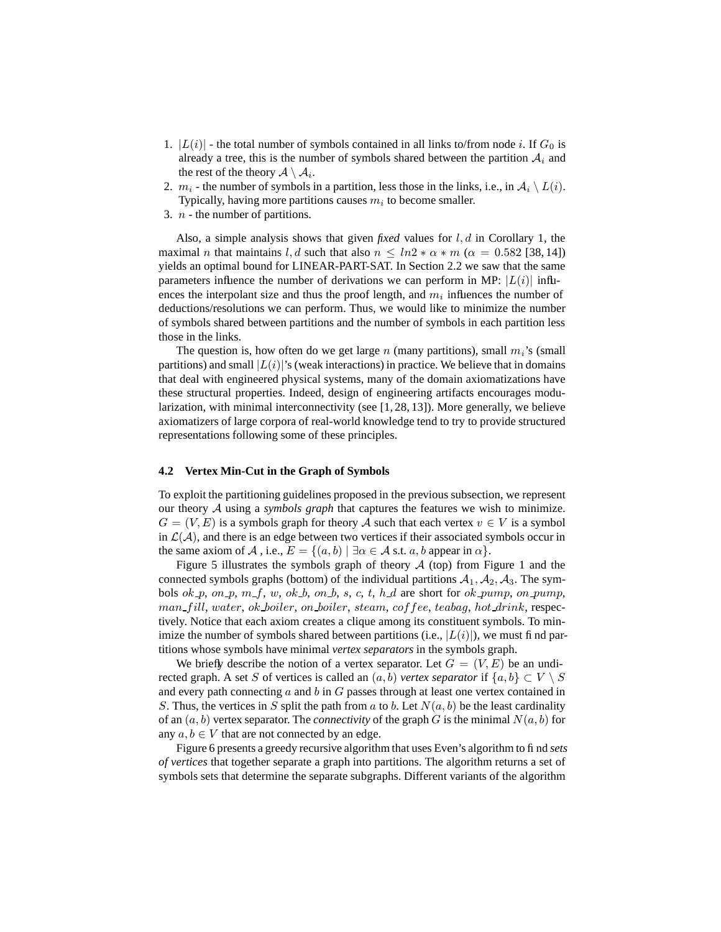- 1.  $|L(i)|$  the total number of symbols contained in all links to/from node i. If  $G_0$  is already a tree, this is the number of symbols shared between the partition  $A_i$  and the rest of the theory  $\mathcal{A} \setminus \mathcal{A}_i.$
- 2.  $m_i$  the number of symbols in a partition, less those in the links, i.e., in  $A_i \setminus L(i)$ . Typically, having more partitions causes  $m_i$  to become smaller.
- 3.  $n$  the number of partitions.

Also, a simple analysis shows that given *fixed* values for l, d in Corollary 1, the maximal *n* that maintains l, d such that also  $n \leq ln2 * \alpha * m$  ( $\alpha = 0.582$  [38, 14]) yields an optimal bound for LINEAR-PART-SAT. In Section 2.2 we saw that the same parameters influence the number of derivations we can perform in MP:  $|L(i)|$  influences the interpolant size and thus the proof length, and  $m_i$  influences the number of deductions/resolutions we can perform. Thus, we would like to minimize the number of symbols shared between partitions and the number of symbols in each partition less those in the links.

The question is, how often do we get large n (many partitions), small  $m_i$ 's (small partitions) and small  $|L(i)|$ 's (weak interactions) in practice. We believe that in domains that deal with engineered physical systems, many of the domain axiomatizations have these structural properties. Indeed, design of engineering artifacts encourages modularization, with minimal interconnectivity (see [1, 28, 13]). More generally, we believe axiomatizers of large corpora of real-world knowledge tend to try to provide structured representations following some of these principles.

#### **4.2 Vertex Min-Cut in the Graph of Symbols**

To exploit the partitioning guidelines proposed in the previous subsection, we represent our theory A using a *symbols graph* that captures the features we wish to minimize.  $G = (V, E)$  is a symbols graph for theory A such that each vertex  $v \in V$  is a symbol in  $\mathcal{L}(\mathcal{A})$ , and there is an edge between two vertices if their associated symbols occur in the same axiom of A, i.e.,  $E = \{(a, b) | \exists \alpha \in A \text{ s.t. } a, b \text{ appear in } \alpha\}.$ 

Figure 5 illustrates the symbols graph of theory  $A$  (top) from Figure 1 and the connected symbols graphs (bottom) of the individual partitions  $A_1, A_2, A_3$ . The symbols ok p, on p, m f, w, ok b, on b, s, c, t, h d are short for ok pump, on pump, man fill, water, ok boiler, on boiler, steam, coffee, teabag, hot drink, respectively. Notice that each axiom creates a clique among its constituent symbols. To minimize the number of symbols shared between partitions (i.e.,  $|L(i)|$ ), we must find partitions whose symbols have minimal *vertex separators* in the symbols graph.

We briefly describe the notion of a vertex separator. Let  $G = (V, E)$  be an undirected graph. A set S of vertices is called an  $(a, b)$  *vertex separator* if  $\{a, b\} \subset V \setminus S$ and every path connecting  $a$  and  $b$  in  $G$  passes through at least one vertex contained in S. Thus, the vertices in S split the path from a to b. Let  $N(a, b)$  be the least cardinality of an  $(a, b)$  vertex separator. The *connectivity* of the graph G is the minimal  $N(a, b)$  for any  $a, b \in V$  that are not connected by an edge.

Figure 6 presents a greedy recursive algorithm that uses Even's algorithm to find *sets of vertices* that together separate a graph into partitions. The algorithm returns a set of symbols sets that determine the separate subgraphs. Different variants of the algorithm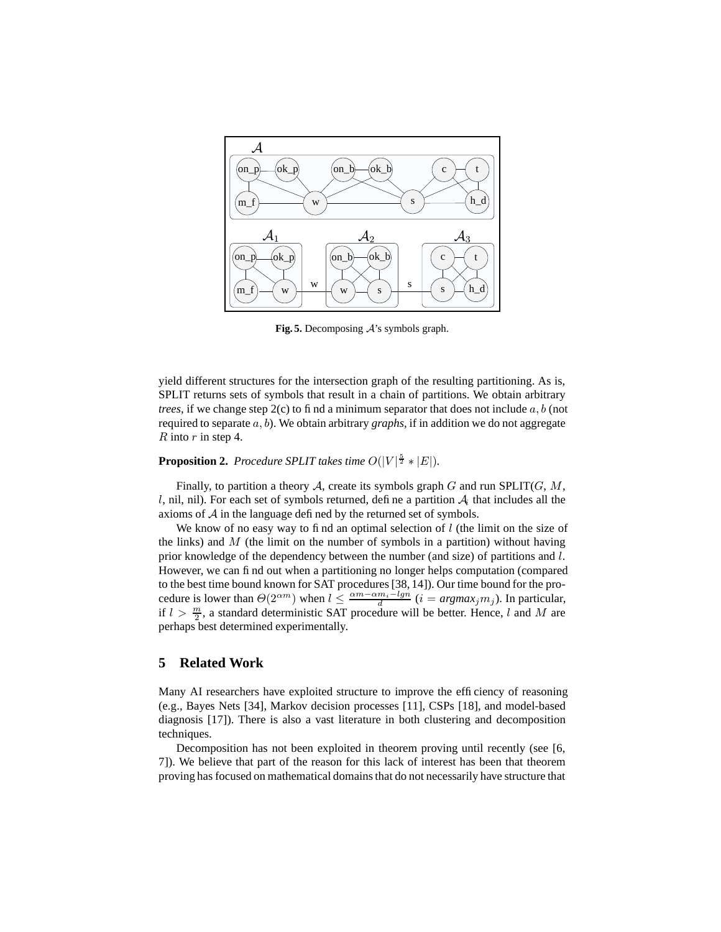

**Fig. 5.** Decomposing A's symbols graph.

yield different structures for the intersection graph of the resulting partitioning. As is, SPLIT returns sets of symbols that result in a chain of partitions. We obtain arbitrary *trees*, if we change step  $2(c)$  to find a minimum separator that does not include a, b (not required to separate a, b). We obtain arbitrary *graphs*, if in addition we do not aggregate R into  $r$  in step 4.

# **Proposition 2.** *Procedure SPLIT takes time*  $O(|V|^{\frac{5}{2}} * |E|)$ *.*

Finally, to partition a theory A, create its symbols graph G and run SPLIT(G,  $M$ , l, nil, nil). For each set of symbols returned, define a partition  $A_i$  that includes all the axioms of  $A$  in the language defined by the returned set of symbols.

We know of no easy way to find an optimal selection of  $l$  (the limit on the size of the links) and  $M$  (the limit on the number of symbols in a partition) without having prior knowledge of the dependency between the number (and size) of partitions and l. However, we can find out when a partitioning no longer helps computation (compared to the best time bound known for SAT procedures[38, 14]). Our time bound for the procedure is lower than  $\Theta(2^{\alpha m})$  when  $l \leq \frac{\alpha m - \alpha m_i - lgn}{d}$   $(i = argmax_j m_j)$ . In particular, if  $l > \frac{m}{2}$ , a standard deterministic SAT procedure will be better. Hence, l and M are perhaps best determined experimentally.

### **5 Related Work**

Many AI researchers have exploited structure to improve the efficiency of reasoning (e.g., Bayes Nets [34], Markov decision processes [11], CSPs [18], and model-based diagnosis [17]). There is also a vast literature in both clustering and decomposition techniques.

Decomposition has not been exploited in theorem proving until recently (see [6, 7]). We believe that part of the reason for this lack of interest has been that theorem proving has focused on mathematical domainsthat do not necessarily have structure that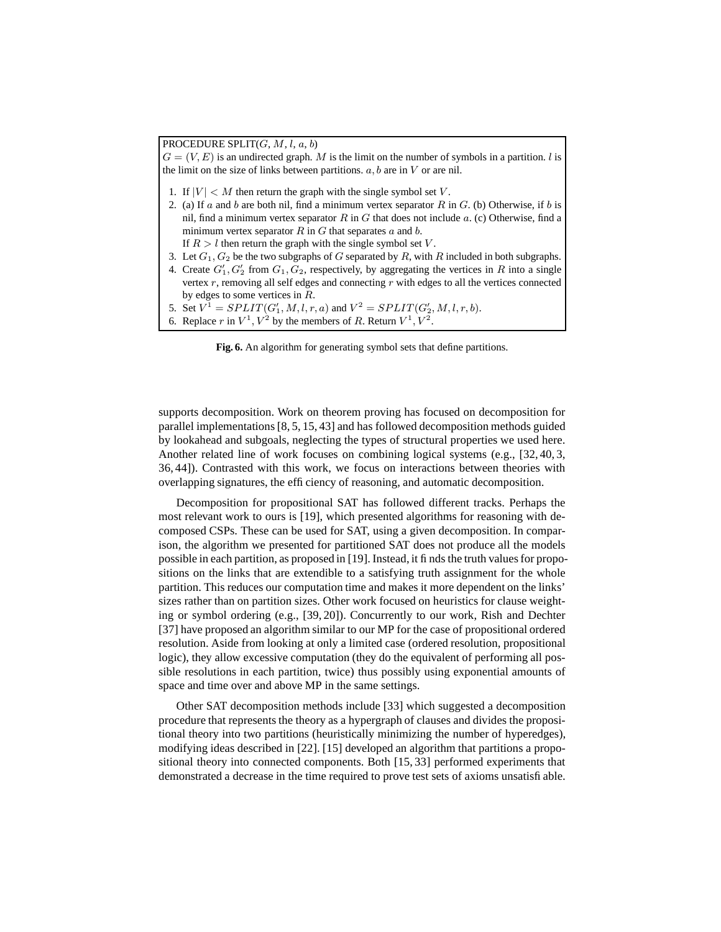PROCEDURE SPLIT $(G, M, l, a, b)$  $G = (V, E)$  is an undirected graph. M is the limit on the number of symbols in a partition. *l* is the limit on the size of links between partitions.  $a, b$  are in  $V$  or are nil. 1. If  $|V| < M$  then return the graph with the single symbol set V. 2. (a) If a and b are both nil, find a minimum vertex separator R in G. (b) Otherwise, if b is nil, find a minimum vertex separator R in G that does not include  $a$ . (c) Otherwise, find a minimum vertex separator  $R$  in  $G$  that separates  $a$  and  $b$ . If  $R > l$  then return the graph with the single symbol set V. 3. Let  $G_1, G_2$  be the two subgraphs of G separated by R, with R included in both subgraphs. 4. Create  $G'_1, G'_2$  from  $G_1, G_2$ , respectively, by aggregating the vertices in R into a single vertex  $r$ , removing all self edges and connecting  $r$  with edges to all the vertices connected by edges to some vertices in R. 5. Set  $V^1 = SPLIT(G'_1, M, l, r, a)$  and  $V^2 = SPLIT(G'_2, M, l, r, b)$ .

6. Replace r in  $V^1$ ,  $V^2$  by the members of R. Return  $V^1$ ,  $V^2$ .

**Fig. 6.** An algorithm for generating symbol sets that define partitions.

supports decomposition. Work on theorem proving has focused on decomposition for parallel implementations [8, 5, 15, 43] and has followed decomposition methods guided by lookahead and subgoals, neglecting the types of structural properties we used here. Another related line of work focuses on combining logical systems (e.g., [32, 40, 3, 36, 44]). Contrasted with this work, we focus on interactions between theories with overlapping signatures, the efficiency of reasoning, and automatic decomposition.

Decomposition for propositional SAT has followed different tracks. Perhaps the most relevant work to ours is [19], which presented algorithms for reasoning with decomposed CSPs. These can be used for SAT, using a given decomposition. In comparison, the algorithm we presented for partitioned SAT does not produce all the models possible in each partition, as proposed in [19]. Instead, it finds the truth valuesfor propositions on the links that are extendible to a satisfying truth assignment for the whole partition. This reduces our computation time and makes it more dependent on the links' sizes rather than on partition sizes. Other work focused on heuristics for clause weighting or symbol ordering (e.g., [39, 20]). Concurrently to our work, Rish and Dechter [37] have proposed an algorithm similar to our MP for the case of propositional ordered resolution. Aside from looking at only a limited case (ordered resolution, propositional logic), they allow excessive computation (they do the equivalent of performing all possible resolutions in each partition, twice) thus possibly using exponential amounts of space and time over and above MP in the same settings.

Other SAT decomposition methods include [33] which suggested a decomposition procedure that represents the theory as a hypergraph of clauses and divides the propositional theory into two partitions (heuristically minimizing the number of hyperedges), modifying ideas described in [22]. [15] developed an algorithm that partitions a propositional theory into connected components. Both [15, 33] performed experiments that demonstrated a decrease in the time required to prove test sets of axioms unsatisfiable.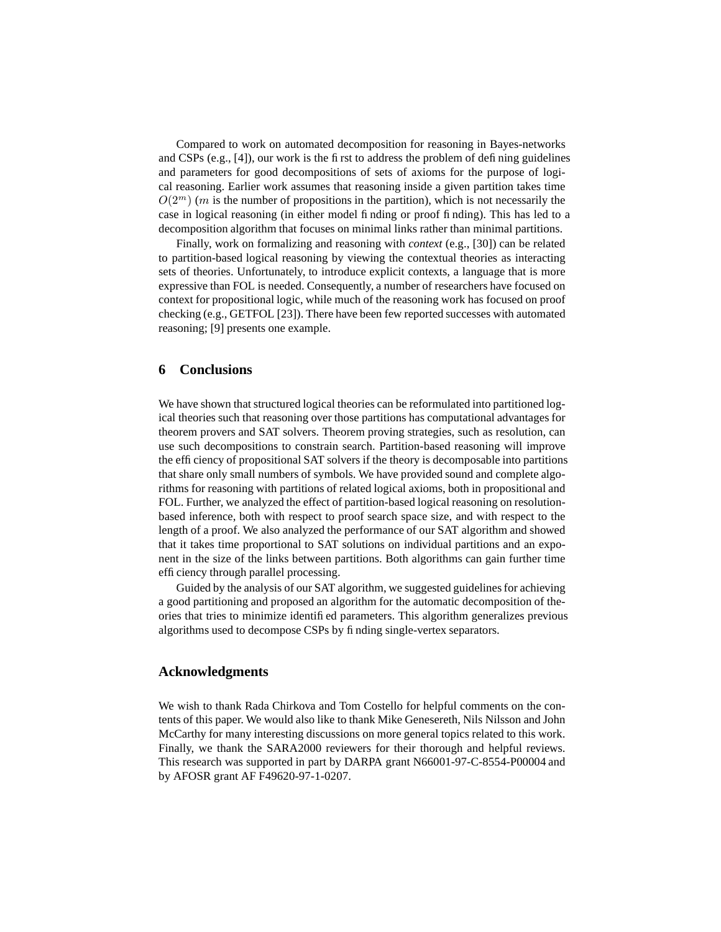Compared to work on automated decomposition for reasoning in Bayes-networks and CSPs (e.g., [4]), our work is the first to address the problem of defining guidelines and parameters for good decompositions of sets of axioms for the purpose of logical reasoning. Earlier work assumes that reasoning inside a given partition takes time  $O(2^m)$  (*m* is the number of propositions in the partition), which is not necessarily the case in logical reasoning (in either model finding or proof finding). This has led to a decomposition algorithm that focuses on minimal links rather than minimal partitions.

Finally, work on formalizing and reasoning with *context* (e.g., [30]) can be related to partition-based logical reasoning by viewing the contextual theories as interacting sets of theories. Unfortunately, to introduce explicit contexts, a language that is more expressive than FOL is needed. Consequently, a number of researchers have focused on context for propositional logic, while much of the reasoning work has focused on proof checking (e.g., GETFOL [23]). There have been few reported successes with automated reasoning; [9] presents one example.

# **6 Conclusions**

We have shown that structured logical theories can be reformulated into partitioned logical theories such that reasoning over those partitions has computational advantages for theorem provers and SAT solvers. Theorem proving strategies, such as resolution, can use such decompositions to constrain search. Partition-based reasoning will improve the efficiency of propositional SAT solvers if the theory is decomposable into partitions that share only small numbers of symbols. We have provided sound and complete algorithms for reasoning with partitions of related logical axioms, both in propositional and FOL. Further, we analyzed the effect of partition-based logical reasoning on resolutionbased inference, both with respect to proof search space size, and with respect to the length of a proof. We also analyzed the performance of our SAT algorithm and showed that it takes time proportional to SAT solutions on individual partitions and an exponent in the size of the links between partitions. Both algorithms can gain further time efficiency through parallel processing.

Guided by the analysis of our SAT algorithm, we suggested guidelines for achieving a good partitioning and proposed an algorithm for the automatic decomposition of theories that tries to minimize identified parameters. This algorithm generalizes previous algorithms used to decompose CSPs by finding single-vertex separators.

# **Acknowledgments**

We wish to thank Rada Chirkova and Tom Costello for helpful comments on the contents of this paper. We would also like to thank Mike Genesereth, Nils Nilsson and John McCarthy for many interesting discussions on more general topics related to this work. Finally, we thank the SARA2000 reviewers for their thorough and helpful reviews. This research was supported in part by DARPA grant N66001-97-C-8554-P00004 and by AFOSR grant AF F49620-97-1-0207.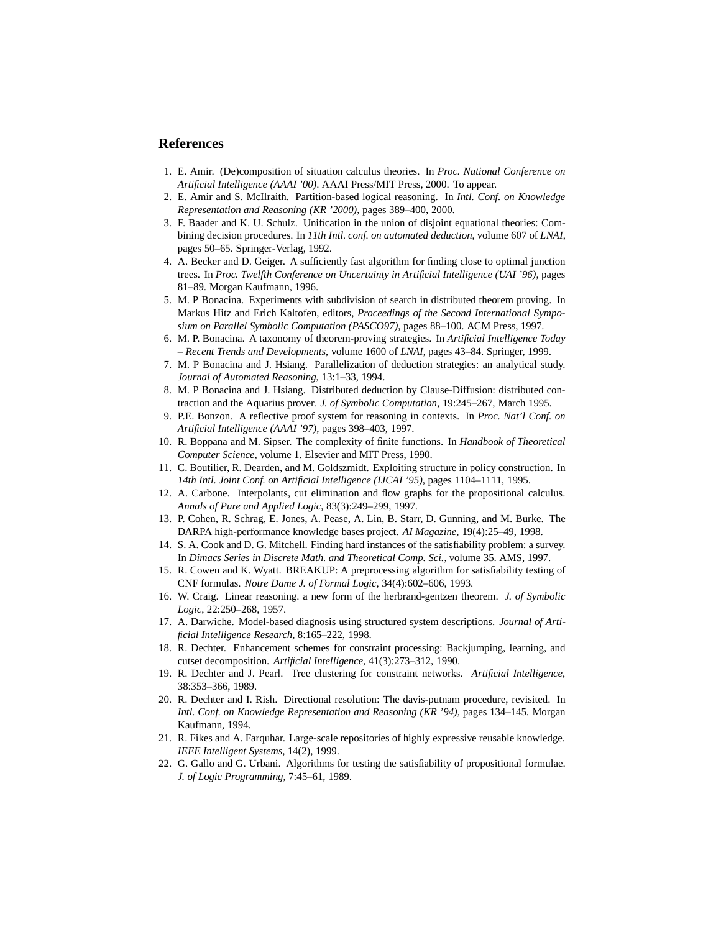# **References**

- 1. E. Amir. (De)composition of situation calculus theories. In *Proc. National Conference on Artificial Intelligence (AAAI '00)*. AAAI Press/MIT Press, 2000. To appear.
- 2. E. Amir and S. McIlraith. Partition-based logical reasoning. In *Intl. Conf. on Knowledge Representation and Reasoning (KR '2000)*, pages 389–400, 2000.
- 3. F. Baader and K. U. Schulz. Unification in the union of disjoint equational theories: Combining decision procedures. In *11th Intl. conf. on automated deduction*, volume 607 of *LNAI*, pages 50–65. Springer-Verlag, 1992.
- 4. A. Becker and D. Geiger. A sufficiently fast algorithm for finding close to optimal junction trees. In *Proc. Twelfth Conference on Uncertainty in Artificial Intelligence (UAI '96)*, pages 81–89. Morgan Kaufmann, 1996.
- 5. M. P Bonacina. Experiments with subdivision of search in distributed theorem proving. In Markus Hitz and Erich Kaltofen, editors, *Proceedings of the Second International Symposium on Parallel Symbolic Computation (PASCO97)*, pages 88–100. ACM Press, 1997.
- 6. M. P. Bonacina. A taxonomy of theorem-proving strategies. In *Artificial Intelligence Today – Recent Trends and Developments*, volume 1600 of *LNAI*, pages 43–84. Springer, 1999.
- 7. M. P Bonacina and J. Hsiang. Parallelization of deduction strategies: an analytical study. *Journal of Automated Reasoning*, 13:1–33, 1994.
- 8. M. P Bonacina and J. Hsiang. Distributed deduction by Clause-Diffusion: distributed contraction and the Aquarius prover. *J. of Symbolic Computation*, 19:245–267, March 1995.
- 9. P.E. Bonzon. A reflective proof system for reasoning in contexts. In *Proc. Nat'l Conf. on Artificial Intelligence (AAAI '97)*, pages 398–403, 1997.
- 10. R. Boppana and M. Sipser. The complexity of finite functions. In *Handbook of Theoretical Computer Science*, volume 1. Elsevier and MIT Press, 1990.
- 11. C. Boutilier, R. Dearden, and M. Goldszmidt. Exploiting structure in policy construction. In *14th Intl. Joint Conf. on Artificial Intelligence (IJCAI '95)*, pages 1104–1111, 1995.
- 12. A. Carbone. Interpolants, cut elimination and flow graphs for the propositional calculus. *Annals of Pure and Applied Logic*, 83(3):249–299, 1997.
- 13. P. Cohen, R. Schrag, E. Jones, A. Pease, A. Lin, B. Starr, D. Gunning, and M. Burke. The DARPA high-performance knowledge bases project. *AI Magazine*, 19(4):25–49, 1998.
- 14. S. A. Cook and D. G. Mitchell. Finding hard instances of the satisfiability problem: a survey. In *Dimacs Series in Discrete Math. and Theoretical Comp. Sci.*, volume 35. AMS, 1997.
- 15. R. Cowen and K. Wyatt. BREAKUP: A preprocessing algorithm for satisfiability testing of CNF formulas. *Notre Dame J. of Formal Logic*, 34(4):602–606, 1993.
- 16. W. Craig. Linear reasoning. a new form of the herbrand-gentzen theorem. *J. of Symbolic Logic*, 22:250–268, 1957.
- 17. A. Darwiche. Model-based diagnosis using structured system descriptions. *Journal of Artificial Intelligence Research*, 8:165–222, 1998.
- 18. R. Dechter. Enhancement schemes for constraint processing: Backjumping, learning, and cutset decomposition. *Artificial Intelligence*, 41(3):273–312, 1990.
- 19. R. Dechter and J. Pearl. Tree clustering for constraint networks. *Artificial Intelligence*, 38:353–366, 1989.
- 20. R. Dechter and I. Rish. Directional resolution: The davis-putnam procedure, revisited. In *Intl. Conf. on Knowledge Representation and Reasoning (KR '94)*, pages 134–145. Morgan Kaufmann, 1994.
- 21. R. Fikes and A. Farquhar. Large-scale repositories of highly expressive reusable knowledge. *IEEE Intelligent Systems*, 14(2), 1999.
- 22. G. Gallo and G. Urbani. Algorithms for testing the satisfiability of propositional formulae. *J. of Logic Programming*, 7:45–61, 1989.